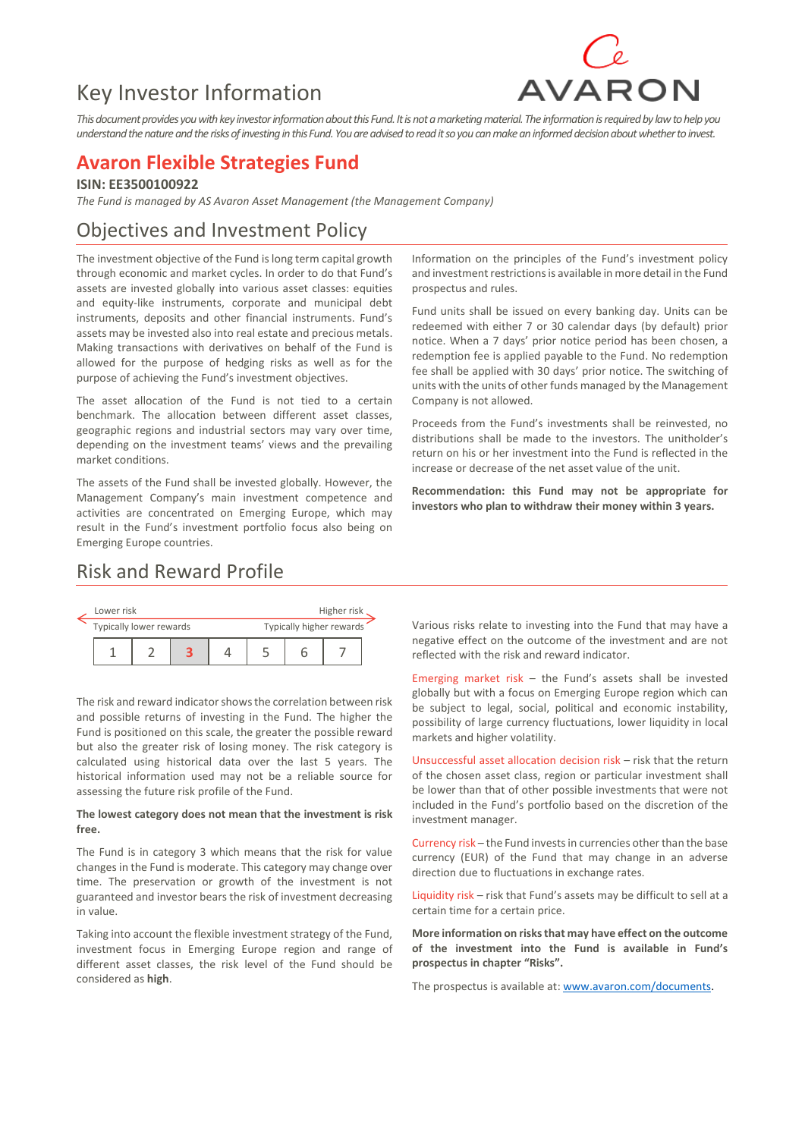# Key Investor Information



*This document provides you with key investor information about this Fund. It is not a marketing material. The information is required by law to help you understand the nature and the risks of investing in this Fund.You are advised to read it so you can make an informed decision about whether to invest.*

### **Avaron Flexible Strategies Fund**

**ISIN: EE3500100922**

*The Fund is managed by AS Avaron Asset Management (the Management Company)*

### Objectives and Investment Policy

The investment objective of the Fund is long term capital growth through economic and market cycles. In order to do that Fund's assets are invested globally into various asset classes: equities and equity-like instruments, corporate and municipal debt instruments, deposits and other financial instruments. Fund's assets may be invested also into real estate and precious metals. Making transactions with derivatives on behalf of the Fund is allowed for the purpose of hedging risks as well as for the purpose of achieving the Fund's investment objectives.

The asset allocation of the Fund is not tied to a certain benchmark. The allocation between different asset classes, geographic regions and industrial sectors may vary over time, depending on the investment teams' views and the prevailing market conditions.

The assets of the Fund shall be invested globally. However, the Management Company's main investment competence and activities are concentrated on Emerging Europe, which may result in the Fund's investment portfolio focus also being on Emerging Europe countries.

Information on the principles of the Fund's investment policy and investment restrictions is available in more detail in the Fund prospectus and rules.

Fund units shall be issued on every banking day. Units can be redeemed with either 7 or 30 calendar days (by default) prior notice. When a 7 days' prior notice period has been chosen, a redemption fee is applied payable to the Fund. No redemption fee shall be applied with 30 days' prior notice. The switching of units with the units of other funds managed by the Management Company is not allowed.

Proceeds from the Fund's investments shall be reinvested, no distributions shall be made to the investors. The unitholder's return on his or her investment into the Fund is reflected in the increase or decrease of the net asset value of the unit.

**Recommendation: this Fund may not be appropriate for investors who plan to withdraw their money within 3 years.**

### Risk and Reward Profile



The risk and reward indicator shows the correlation between risk and possible returns of investing in the Fund. The higher the Fund is positioned on this scale, the greater the possible reward but also the greater risk of losing money. The risk category is calculated using historical data over the last 5 years. The historical information used may not be a reliable source for assessing the future risk profile of the Fund.

#### **The lowest category does not mean that the investment is risk free.**

The Fund is in category 3 which means that the risk for value changes in the Fund is moderate. This category may change over time. The preservation or growth of the investment is not guaranteed and investor bears the risk of investment decreasing in value.

Taking into account the flexible investment strategy of the Fund, investment focus in Emerging Europe region and range of different asset classes, the risk level of the Fund should be considered as **high**.

Various risks relate to investing into the Fund that may have a negative effect on the outcome of the investment and are not reflected with the risk and reward indicator.

Emerging market risk  $-$  the Fund's assets shall be invested globally but with a focus on Emerging Europe region which can be subject to legal, social, political and economic instability, possibility of large currency fluctuations, lower liquidity in local markets and higher volatility.

Unsuccessful asset allocation decision risk – risk that the return of the chosen asset class, region or particular investment shall be lower than that of other possible investments that were not included in the Fund's portfolio based on the discretion of the investment manager.

Currency risk – the Fund invests in currencies other than the base currency (EUR) of the Fund that may change in an adverse direction due to fluctuations in exchange rates.

Liquidity risk – risk that Fund's assets may be difficult to sell at a certain time for a certain price.

**More information on risks that may have effect on the outcome of the investment into the Fund is available in Fund's prospectus in chapter "Risks".** 

The prospectus is available at[: www.avaron.com/documents.](http://www.avaron.com/documents)